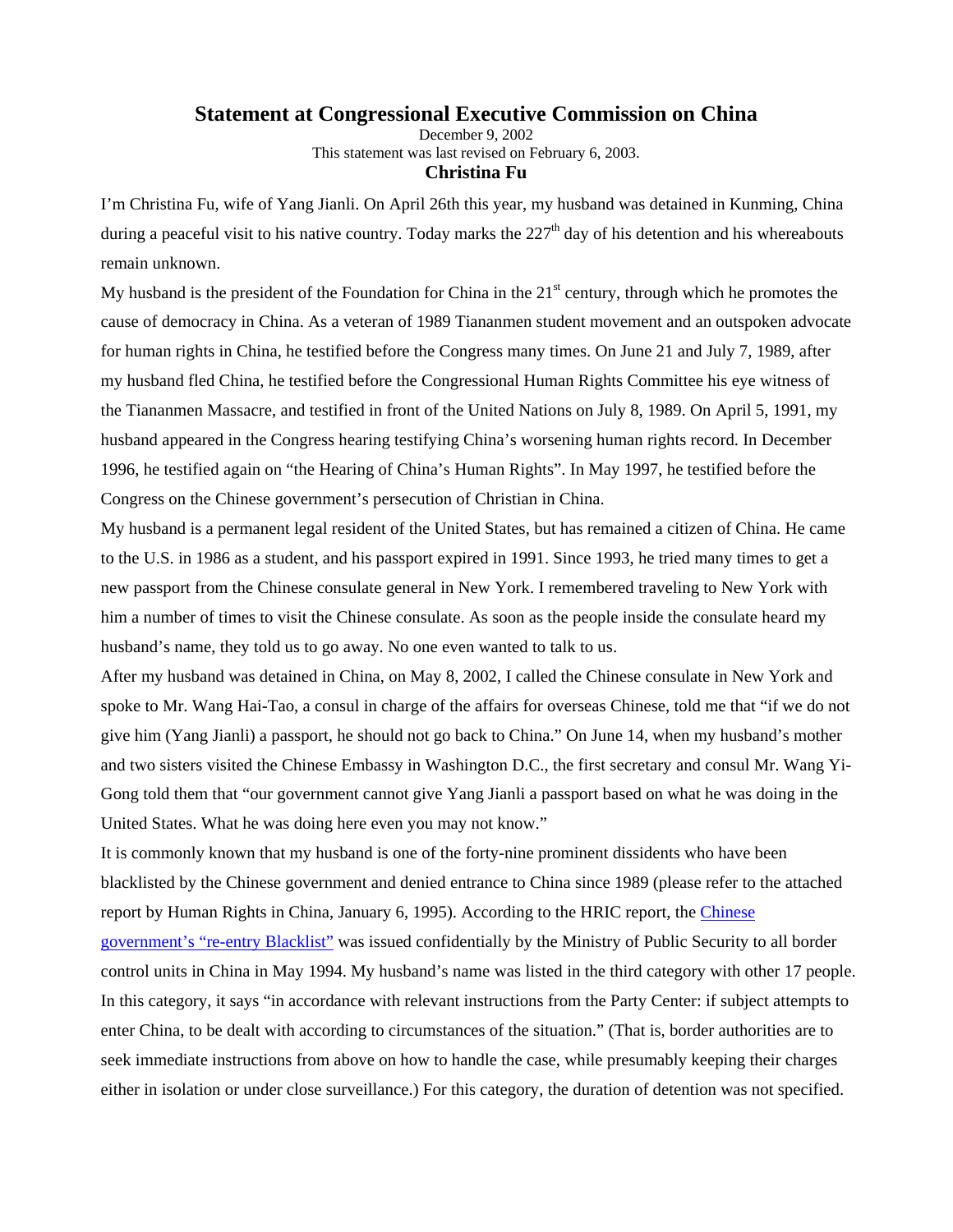## **Statement at Congressional Executive Commission on China**

December 9, 2002 This statement was last revised on February 6, 2003. **Christina Fu**

I'm Christina Fu, wife of Yang Jianli. On April 26th this year, my husband was detained in Kunming, China during a peaceful visit to his native country. Today marks the  $227<sup>th</sup>$  day of his detention and his whereabouts remain unknown.

My husband is the president of the Foundation for China in the  $21<sup>st</sup>$  century, through which he promotes the cause of democracy in China. As a veteran of 1989 Tiananmen student movement and an outspoken advocate for human rights in China, he testified before the Congress many times. On June 21 and July 7, 1989, after my husband fled China, he testified before the Congressional Human Rights Committee his eye witness of the Tiananmen Massacre, and testified in front of the United Nations on July 8, 1989. On April 5, 1991, my husband appeared in the Congress hearing testifying China's worsening human rights record. In December 1996, he testified again on "the Hearing of China's Human Rights". In May 1997, he testified before the Congress on the Chinese government's persecution of Christian in China.

My husband is a permanent legal resident of the United States, but has remained a citizen of China. He came to the U.S. in 1986 as a student, and his passport expired in 1991. Since 1993, he tried many times to get a new passport from the Chinese consulate general in New York. I remembered traveling to New York with him a number of times to visit the Chinese consulate. As soon as the people inside the consulate heard my husband's name, they told us to go away. No one even wanted to talk to us.

After my husband was detained in China, on May 8, 2002, I called the Chinese consulate in New York and spoke to Mr. Wang Hai-Tao, a consul in charge of the affairs for overseas Chinese, told me that "if we do not give him (Yang Jianli) a passport, he should not go back to China." On June 14, when my husband's mother and two sisters visited the Chinese Embassy in Washington D.C., the first secretary and consul Mr. Wang Yi-Gong told them that "our government cannot give Yang Jianli a passport based on what he was doing in the United States. What he was doing here even you may not know."

It is commonly known that my husband is one of the forty-nine prominent dissidents who have been blacklisted by the Chinese government and denied entrance to China since 1989 (please refer to the attached report by Human Rights in China, January 6, 1995). According to the HRIC report, the Chinese government's "re-entry Blacklist" was issued confidentially by the Ministry of Public Security to all border control units in China in May 1994. My husband's name was listed in the third category with other 17 people. In this category, it says "in accordance with relevant instructions from the Party Center: if subject attempts to enter China, to be dealt with according to circumstances of the situation." (That is, border authorities are to seek immediate instructions from above on how to handle the case, while presumably keeping their charges either in isolation or under close surveillance.) For this category, the duration of detention was not specified.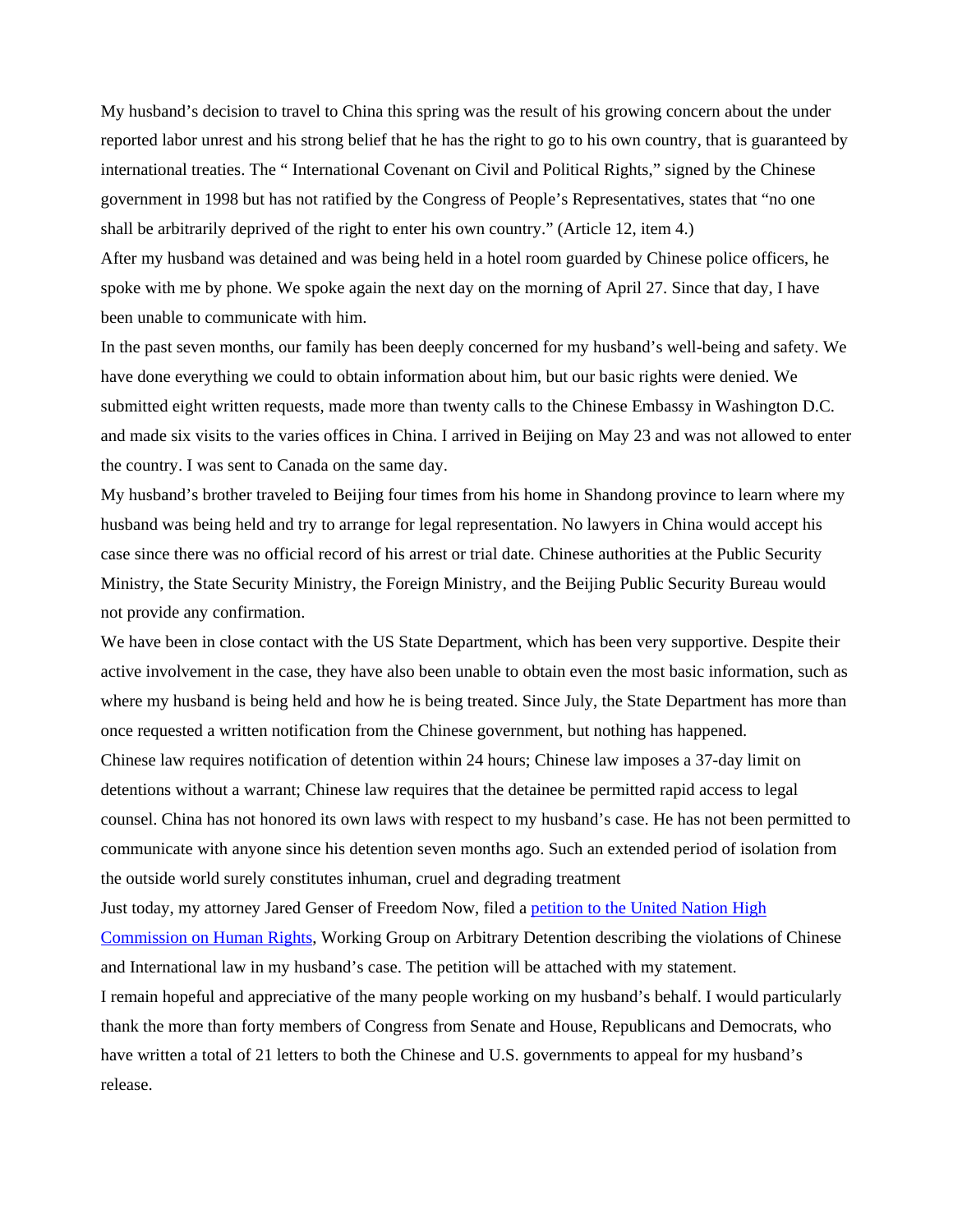My husband's decision to travel to China this spring was the result of his growing concern about the under reported labor unrest and his strong belief that he has the right to go to his own country, that is guaranteed by international treaties. The " International Covenant on Civil and Political Rights," signed by the Chinese government in 1998 but has not ratified by the Congress of People's Representatives, states that "no one shall be arbitrarily deprived of the right to enter his own country." (Article 12, item 4.)

After my husband was detained and was being held in a hotel room guarded by Chinese police officers, he spoke with me by phone. We spoke again the next day on the morning of April 27. Since that day, I have been unable to communicate with him.

In the past seven months, our family has been deeply concerned for my husband's well-being and safety. We have done everything we could to obtain information about him, but our basic rights were denied. We submitted eight written requests, made more than twenty calls to the Chinese Embassy in Washington D.C. and made six visits to the varies offices in China. I arrived in Beijing on May 23 and was not allowed to enter the country. I was sent to Canada on the same day.

My husband's brother traveled to Beijing four times from his home in Shandong province to learn where my husband was being held and try to arrange for legal representation. No lawyers in China would accept his case since there was no official record of his arrest or trial date. Chinese authorities at the Public Security Ministry, the State Security Ministry, the Foreign Ministry, and the Beijing Public Security Bureau would not provide any confirmation.

We have been in close contact with the US State Department, which has been very supportive. Despite their active involvement in the case, they have also been unable to obtain even the most basic information, such as where my husband is being held and how he is being treated. Since July, the State Department has more than once requested a written notification from the Chinese government, but nothing has happened.

Chinese law requires notification of detention within 24 hours; Chinese law imposes a 37-day limit on detentions without a warrant; Chinese law requires that the detainee be permitted rapid access to legal counsel. China has not honored its own laws with respect to my husband's case. He has not been permitted to communicate with anyone since his detention seven months ago. Such an extended period of isolation from the outside world surely constitutes inhuman, cruel and degrading treatment

Just today, my attorney Jared Genser of Freedom Now, filed a petition to the United Nation High Commission on Human Rights, Working Group on Arbitrary Detention describing the violations of Chinese and International law in my husband's case. The petition will be attached with my statement.

I remain hopeful and appreciative of the many people working on my husband's behalf. I would particularly thank the more than forty members of Congress from Senate and House, Republicans and Democrats, who have written a total of 21 letters to both the Chinese and U.S. governments to appeal for my husband's release.